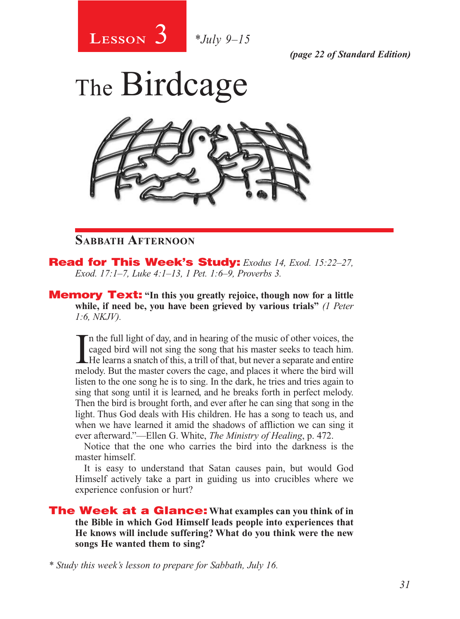

*(page 22 of Standard Edition)*

# The Birdcage



## **Sabbath Afternoon**

Read for This Week's Study: *Exodus 14, Exod. 15:22–27, Exod. 17:1–7, Luke 4:1–13, 1 Pet. 1:6–9, Proverbs 3.*

Memory Text: **"In this you greatly rejoice, though now for a little while, if need be, you have been grieved by various trials"** *(1 Peter 1:6, NKJV).* 

If the full light of day, and in hearing of the music of other voices, the caged bird will not sing the song that his master seeks to teach him.<br>He learns a snatch of this, a trill of that, but never a separate and entire n the full light of day, and in hearing of the music of other voices, the caged bird will not sing the song that his master seeks to teach him. melody. But the master covers the cage, and places it where the bird will listen to the one song he is to sing. In the dark, he tries and tries again to sing that song until it is learned, and he breaks forth in perfect melody. Then the bird is brought forth, and ever after he can sing that song in the light. Thus God deals with His children. He has a song to teach us, and when we have learned it amid the shadows of affliction we can sing it ever afterward."—Ellen G. White, *The Ministry of Healing*, p. 472.

Notice that the one who carries the bird into the darkness is the master himself.

It is easy to understand that Satan causes pain, but would God Himself actively take a part in guiding us into crucibles where we experience confusion or hurt?

The Week at a Glance: **What examples can you think of in the Bible in which God Himself leads people into experiences that He knows will include suffering? What do you think were the new songs He wanted them to sing?**

*\* Study this week's lesson to prepare for Sabbath, July 16.*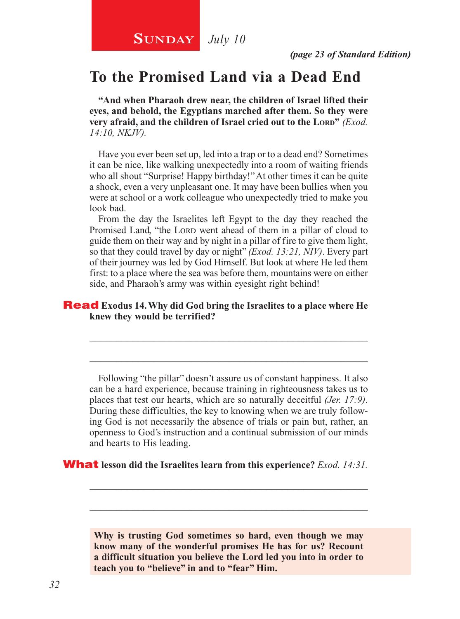## **SUNDAY** July 10

## **To the Promised Land via a Dead End**

**"And when Pharaoh drew near, the children of Israel lifted their eyes, and behold, the Egyptians marched after them. So they were very afraid, and the children of Israel cried out to the Lord<sup></sup>** *(Exod.***)** *14:10, NKJV).*

Have you ever been set up, led into a trap or to a dead end? Sometimes it can be nice, like walking unexpectedly into a room of waiting friends who all shout "Surprise! Happy birthday!" At other times it can be quite a shock, even a very unpleasant one. It may have been bullies when you were at school or a work colleague who unexpectedly tried to make you look bad.

From the day the Israelites left Egypt to the day they reached the Promised Land, "the Lord went ahead of them in a pillar of cloud to guide them on their way and by night in a pillar of fire to give them light, so that they could travel by day or night" *(Exod. 13:21, NIV)*. Every part of their journey was led by God Himself. But look at where He led them first: to a place where the sea was before them, mountains were on either side, and Pharaoh's army was within eyesight right behind!

#### Read **Exodus 14. Why did God bring the Israelites to a place where He knew they would be terrified?**

Following "the pillar" doesn't assure us of constant happiness. It also can be a hard experience, because training in righteousness takes us to places that test our hearts, which are so naturally deceitful *(Jer. 17:9)*. During these difficulties, the key to knowing when we are truly following God is not necessarily the absence of trials or pain but, rather, an openness to God's instruction and a continual submission of our minds and hearts to His leading.

\_\_\_\_\_\_\_\_\_\_\_\_\_\_\_\_\_\_\_\_\_\_\_\_\_\_\_\_\_\_\_\_\_\_\_\_\_\_\_\_\_\_\_\_\_\_\_\_\_\_\_\_

\_\_\_\_\_\_\_\_\_\_\_\_\_\_\_\_\_\_\_\_\_\_\_\_\_\_\_\_\_\_\_\_\_\_\_\_\_\_\_\_\_\_\_\_\_\_\_\_\_\_\_\_

What **lesson did the Israelites learn from this experience?** *Exod. 14:31.*

**Why is trusting God sometimes so hard, even though we may know many of the wonderful promises He has for us? Recount a difficult situation you believe the Lord led you into in order to teach you to "believe" in and to "fear" Him.**

\_\_\_\_\_\_\_\_\_\_\_\_\_\_\_\_\_\_\_\_\_\_\_\_\_\_\_\_\_\_\_\_\_\_\_\_\_\_\_\_\_\_\_\_\_\_\_\_\_\_\_\_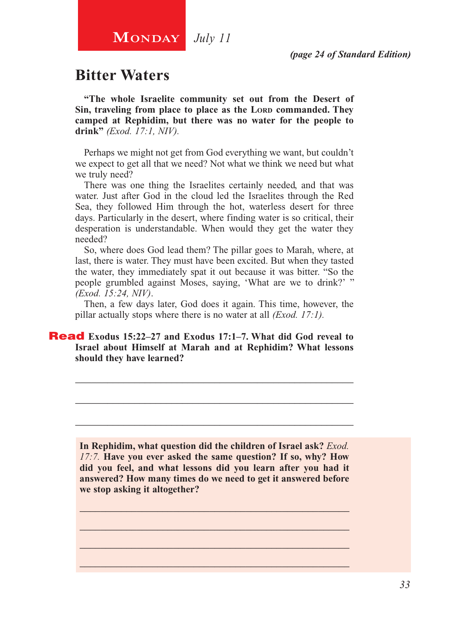*(page 24 of Standard Edition)*

## **Bitter Waters**

**"The whole Israelite community set out from the Desert of**  Sin, traveling from place to place as the LORD commanded. They **camped at Rephidim, but there was no water for the people to drink"** *(Exod. 17:1, NIV).*

Perhaps we might not get from God everything we want, but couldn't we expect to get all that we need? Not what we think we need but what we truly need?

There was one thing the Israelites certainly needed, and that was water. Just after God in the cloud led the Israelites through the Red Sea, they followed Him through the hot, waterless desert for three days. Particularly in the desert, where finding water is so critical, their desperation is understandable. When would they get the water they needed?

So, where does God lead them? The pillar goes to Marah, where, at last, there is water. They must have been excited. But when they tasted the water, they immediately spat it out because it was bitter. "So the people grumbled against Moses, saying, 'What are we to drink?' " *(Exod. 15:24, NIV)*.

Then, a few days later, God does it again. This time, however, the pillar actually stops where there is no water at all *(Exod. 17:1).*

\_\_\_\_\_\_\_\_\_\_\_\_\_\_\_\_\_\_\_\_\_\_\_\_\_\_\_\_\_\_\_\_\_\_\_\_\_\_\_\_\_\_\_\_\_\_\_\_\_\_\_\_

\_\_\_\_\_\_\_\_\_\_\_\_\_\_\_\_\_\_\_\_\_\_\_\_\_\_\_\_\_\_\_\_\_\_\_\_\_\_\_\_\_\_\_\_\_\_\_\_\_\_\_\_

\_\_\_\_\_\_\_\_\_\_\_\_\_\_\_\_\_\_\_\_\_\_\_\_\_\_\_\_\_\_\_\_\_\_\_\_\_\_\_\_\_\_\_\_\_\_\_\_\_\_\_\_

#### Read **Exodus 15:22–27 and Exodus 17:1–7. What did God reveal to Israel about Himself at Marah and at Rephidim? What lessons should they have learned?**

**In Rephidim, what question did the children of Israel ask?** *Exod. 17:7.* **Have you ever asked the same question? If so, why? How did you feel, and what lessons did you learn after you had it answered? How many times do we need to get it answered before we stop asking it altogether?** 

\_\_\_\_\_\_\_\_\_\_\_\_\_\_\_\_\_\_\_\_\_\_\_\_\_\_\_\_\_\_\_\_\_\_\_\_\_\_\_\_\_\_\_\_\_\_\_\_\_\_\_\_ \_\_\_\_\_\_\_\_\_\_\_\_\_\_\_\_\_\_\_\_\_\_\_\_\_\_\_\_\_\_\_\_\_\_\_\_\_\_\_\_\_\_\_\_\_\_\_\_\_\_\_\_ \_\_\_\_\_\_\_\_\_\_\_\_\_\_\_\_\_\_\_\_\_\_\_\_\_\_\_\_\_\_\_\_\_\_\_\_\_\_\_\_\_\_\_\_\_\_\_\_\_\_\_\_ \_\_\_\_\_\_\_\_\_\_\_\_\_\_\_\_\_\_\_\_\_\_\_\_\_\_\_\_\_\_\_\_\_\_\_\_\_\_\_\_\_\_\_\_\_\_\_\_\_\_\_\_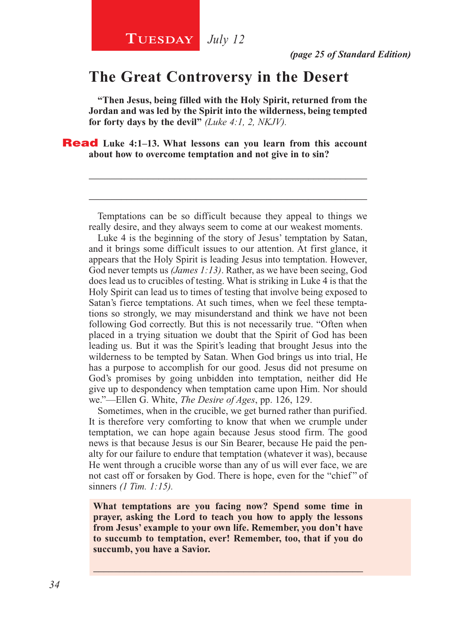## **The Great Controversy in the Desert**

**"Then Jesus, being filled with the Holy Spirit, returned from the Jordan and was led by the Spirit into the wilderness, being tempted for forty days by the devil"** *(Luke 4:1, 2, NKJV).*

**Read** Luke 4:1–13. What lessons can you learn from this account **about how to overcome temptation and not give in to sin?** 

Temptations can be so difficult because they appeal to things we really desire, and they always seem to come at our weakest moments.

\_\_\_\_\_\_\_\_\_\_\_\_\_\_\_\_\_\_\_\_\_\_\_\_\_\_\_\_\_\_\_\_\_\_\_\_\_\_\_\_\_\_\_\_\_\_\_\_\_\_\_\_

\_\_\_\_\_\_\_\_\_\_\_\_\_\_\_\_\_\_\_\_\_\_\_\_\_\_\_\_\_\_\_\_\_\_\_\_\_\_\_\_\_\_\_\_\_\_\_\_\_\_\_\_

Luke 4 is the beginning of the story of Jesus' temptation by Satan, and it brings some difficult issues to our attention. At first glance, it appears that the Holy Spirit is leading Jesus into temptation. However, God never tempts us *(James 1:13)*. Rather, as we have been seeing, God does lead us to crucibles of testing. What is striking in Luke 4 is that the Holy Spirit can lead us to times of testing that involve being exposed to Satan's fierce temptations. At such times, when we feel these temptations so strongly, we may misunderstand and think we have not been following God correctly. But this is not necessarily true. "Often when placed in a trying situation we doubt that the Spirit of God has been leading us. But it was the Spirit's leading that brought Jesus into the wilderness to be tempted by Satan. When God brings us into trial, He has a purpose to accomplish for our good. Jesus did not presume on God's promises by going unbidden into temptation, neither did He give up to despondency when temptation came upon Him. Nor should we."—Ellen G. White, *The Desire of Ages*, pp. 126, 129.

Sometimes, when in the crucible, we get burned rather than purified. It is therefore very comforting to know that when we crumple under temptation, we can hope again because Jesus stood firm. The good news is that because Jesus is our Sin Bearer, because He paid the penalty for our failure to endure that temptation (whatever it was), because He went through a crucible worse than any of us will ever face, we are not cast off or forsaken by God. There is hope, even for the "chief" of sinners *(1 Tim. 1:15).*

**What temptations are you facing now? Spend some time in prayer, asking the Lord to teach you how to apply the lessons from Jesus' example to your own life. Remember, you don't have to succumb to temptation, ever! Remember, too, that if you do succumb, you have a Savior.**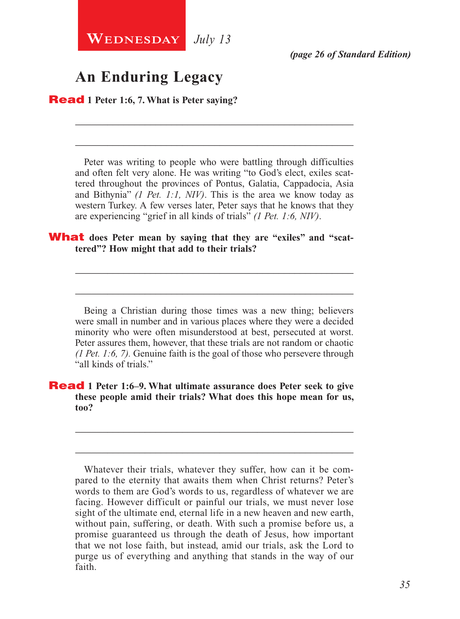**WEDNESDAY** July 13

## **An Enduring Legacy**

Read **1 Peter 1:6, 7. What is Peter saying?**

Peter was writing to people who were battling through difficulties and often felt very alone. He was writing "to God's elect, exiles scattered throughout the provinces of Pontus, Galatia, Cappadocia, Asia and Bithynia" *(1 Pet. 1:1, NIV)*. This is the area we know today as western Turkey. A few verses later, Peter says that he knows that they are experiencing "grief in all kinds of trials" *(1 Pet. 1:6, NIV)*.

\_\_\_\_\_\_\_\_\_\_\_\_\_\_\_\_\_\_\_\_\_\_\_\_\_\_\_\_\_\_\_\_\_\_\_\_\_\_\_\_\_\_\_\_\_\_\_\_\_\_\_\_

\_\_\_\_\_\_\_\_\_\_\_\_\_\_\_\_\_\_\_\_\_\_\_\_\_\_\_\_\_\_\_\_\_\_\_\_\_\_\_\_\_\_\_\_\_\_\_\_\_\_\_\_

#### **What** does Peter mean by saying that they are "exiles" and "scat**tered"? How might that add to their trials?**

Being a Christian during those times was a new thing; believers were small in number and in various places where they were a decided minority who were often misunderstood at best, persecuted at worst. Peter assures them, however, that these trials are not random or chaotic *(1 Pet. 1:6, 7).* Genuine faith is the goal of those who persevere through "all kinds of trials."

\_\_\_\_\_\_\_\_\_\_\_\_\_\_\_\_\_\_\_\_\_\_\_\_\_\_\_\_\_\_\_\_\_\_\_\_\_\_\_\_\_\_\_\_\_\_\_\_\_\_\_\_

\_\_\_\_\_\_\_\_\_\_\_\_\_\_\_\_\_\_\_\_\_\_\_\_\_\_\_\_\_\_\_\_\_\_\_\_\_\_\_\_\_\_\_\_\_\_\_\_\_\_\_\_

#### Read **1 Peter 1:6–9. What ultimate assurance does Peter seek to give these people amid their trials? What does this hope mean for us, too?**

Whatever their trials, whatever they suffer, how can it be compared to the eternity that awaits them when Christ returns? Peter's words to them are God's words to us, regardless of whatever we are facing. However difficult or painful our trials, we must never lose sight of the ultimate end, eternal life in a new heaven and new earth, without pain, suffering, or death. With such a promise before us, a promise guaranteed us through the death of Jesus, how important that we not lose faith, but instead, amid our trials, ask the Lord to purge us of everything and anything that stands in the way of our faith.

\_\_\_\_\_\_\_\_\_\_\_\_\_\_\_\_\_\_\_\_\_\_\_\_\_\_\_\_\_\_\_\_\_\_\_\_\_\_\_\_\_\_\_\_\_\_\_\_\_\_\_\_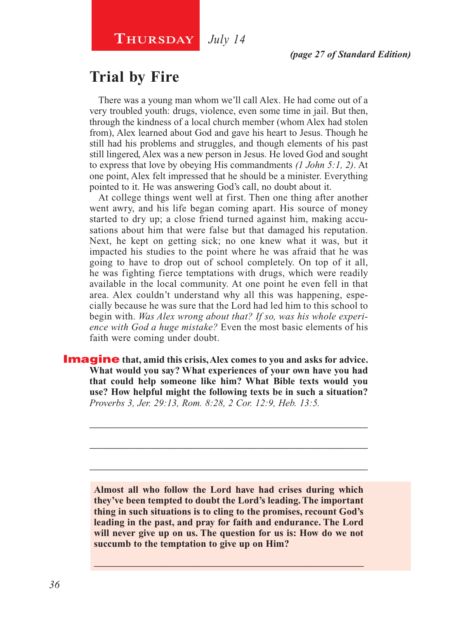## **Trial by Fire**

There was a young man whom we'll call Alex. He had come out of a very troubled youth: drugs, violence, even some time in jail. But then, through the kindness of a local church member (whom Alex had stolen from), Alex learned about God and gave his heart to Jesus. Though he still had his problems and struggles, and though elements of his past still lingered, Alex was a new person in Jesus. He loved God and sought to express that love by obeying His commandments *(1 John 5:1, 2)*. At one point, Alex felt impressed that he should be a minister. Everything pointed to it. He was answering God's call, no doubt about it.

At college things went well at first. Then one thing after another went awry, and his life began coming apart. His source of money started to dry up; a close friend turned against him, making accusations about him that were false but that damaged his reputation. Next, he kept on getting sick; no one knew what it was, but it impacted his studies to the point where he was afraid that he was going to have to drop out of school completely. On top of it all, he was fighting fierce temptations with drugs, which were readily available in the local community. At one point he even fell in that area. Alex couldn't understand why all this was happening, especially because he was sure that the Lord had led him to this school to begin with. *Was Alex wrong about that? If so, was his whole experience with God a huge mistake?* Even the most basic elements of his faith were coming under doubt.

**Imagine** that, amid this crisis, Alex comes to you and asks for advice. **What would you say? What experiences of your own have you had that could help someone like him? What Bible texts would you use? How helpful might the following texts be in such a situation?**  *Proverbs 3, Jer. 29:13, Rom. 8:28, 2 Cor. 12:9, Heb. 13:5.*

> **Almost all who follow the Lord have had crises during which they've been tempted to doubt the Lord's leading. The important thing in such situations is to cling to the promises, recount God's leading in the past, and pray for faith and endurance. The Lord will never give up on us. The question for us is: How do we not succumb to the temptation to give up on Him?**

> $\_$  , and the set of the set of the set of the set of the set of the set of the set of the set of the set of the set of the set of the set of the set of the set of the set of the set of the set of the set of the set of th

\_\_\_\_\_\_\_\_\_\_\_\_\_\_\_\_\_\_\_\_\_\_\_\_\_\_\_\_\_\_\_\_\_\_\_\_\_\_\_\_\_\_\_\_\_\_\_\_\_\_\_\_

\_\_\_\_\_\_\_\_\_\_\_\_\_\_\_\_\_\_\_\_\_\_\_\_\_\_\_\_\_\_\_\_\_\_\_\_\_\_\_\_\_\_\_\_\_\_\_\_\_\_\_\_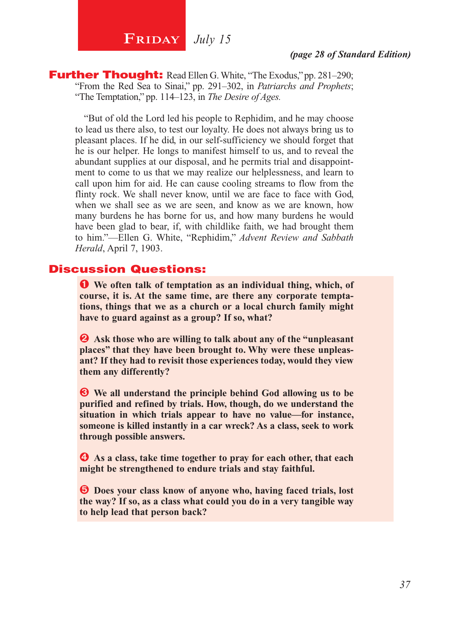## **FRIDAY** July 15

#### *(page 28 of Standard Edition)*

**Further Thought:** Read Ellen G. White, "The Exodus," pp. 281–290; "From the Red Sea to Sinai," pp. 291–302, in *Patriarchs and Prophets*; "The Temptation," pp. 114–123, in *The Desire of Ages.*

"But of old the Lord led his people to Rephidim, and he may choose to lead us there also, to test our loyalty. He does not always bring us to pleasant places. If he did, in our self-sufficiency we should forget that he is our helper. He longs to manifest himself to us, and to reveal the abundant supplies at our disposal, and he permits trial and disappointment to come to us that we may realize our helplessness, and learn to call upon him for aid. He can cause cooling streams to flow from the flinty rock. We shall never know, until we are face to face with God, when we shall see as we are seen, and know as we are known, how many burdens he has borne for us, and how many burdens he would have been glad to bear, if, with childlike faith, we had brought them to him."—Ellen G. White, "Rephidim," *Advent Review and Sabbath Herald*, April 7, 1903.

#### Discussion Questions:

Ê **We often talk of temptation as an individual thing, which, of course, it is. At the same time, are there any corporate temptations, things that we as a church or a local church family might have to guard against as a group? If so, what?**

 $\bullet$  Ask those who are willing to talk about any of the "unpleasant" **places" that they have been brought to. Why were these unpleasant? If they had to revisit those experiences today, would they view them any differently?**

 $\bullet$  We all understand the principle behind God allowing us to be **purified and refined by trials. How, though, do we understand the situation in which trials appear to have no value—for instance, someone is killed instantly in a car wreck? As a class, seek to work through possible answers.**

 $\bullet$  As a class, take time together to pray for each other, that each **might be strengthened to endure trials and stay faithful.**

Î **Does your class know of anyone who, having faced trials, lost the way? If so, as a class what could you do in a very tangible way to help lead that person back?**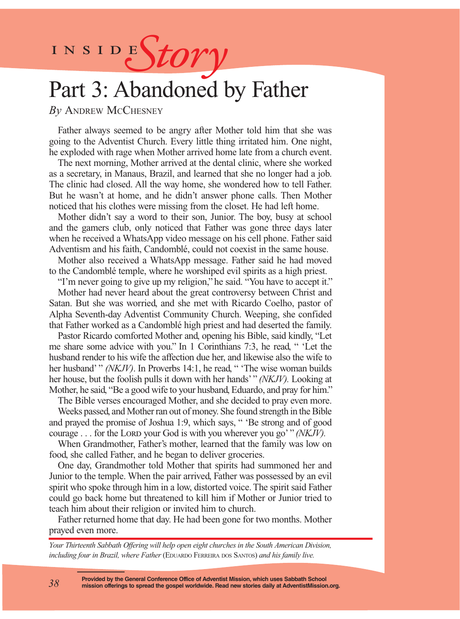INSIDES*tory* 

## Part 3: Abandoned by Father

*By* Andrew McChesney

Father always seemed to be angry after Mother told him that she was going to the Adventist Church. Every little thing irritated him. One night, he exploded with rage when Mother arrived home late from a church event.

The next morning, Mother arrived at the dental clinic, where she worked as a secretary, in Manaus, Brazil, and learned that she no longer had a job. The clinic had closed. All the way home, she wondered how to tell Father. But he wasn't at home, and he didn't answer phone calls. Then Mother noticed that his clothes were missing from the closet. He had left home.

Mother didn't say a word to their son, Junior. The boy, busy at school and the gamers club, only noticed that Father was gone three days later when he received a WhatsApp video message on his cell phone. Father said Adventism and his faith, Candomblé, could not coexist in the same house.

Mother also received a WhatsApp message. Father said he had moved to the Candomblé temple, where he worshiped evil spirits as a high priest.

"I'm never going to give up my religion," he said. "You have to accept it."

Mother had never heard about the great controversy between Christ and Satan. But she was worried, and she met with Ricardo Coelho, pastor of Alpha Seventh-day Adventist Community Church. Weeping, she confided that Father worked as a Candomblé high priest and had deserted the family.

Pastor Ricardo comforted Mother and, opening his Bible, said kindly, "Let me share some advice with you." In 1 Corinthians 7:3, he read, " 'Let the husband render to his wife the affection due her, and likewise also the wife to her husband' "*(NKJV)*. In Proverbs 14:1, he read, " 'The wise woman builds her house, but the foolish pulls it down with her hands' " *(NKJV).* Looking at Mother, he said, "Be a good wife to your husband, Eduardo, and pray for him."

The Bible verses encouraged Mother, and she decided to pray even more.

Weeks passed, and Mother ran out of money. She found strength in the Bible and prayed the promise of Joshua 1:9, which says, " 'Be strong and of good courage . . . for the Lord your God is with you wherever you go' " *(NKJV)*.

When Grandmother, Father's mother, learned that the family was low on food, she called Father, and he began to deliver groceries.

One day, Grandmother told Mother that spirits had summoned her and Junior to the temple. When the pair arrived, Father was possessed by an evil spirit who spoke through him in a low, distorted voice. The spirit said Father could go back home but threatened to kill him if Mother or Junior tried to teach him about their religion or invited him to church.

Father returned home that day. He had been gone for two months. Mother prayed even more.

*Your Thirteenth Sabbath Offering will help open eight churches in the South American Division, including four in Brazil, where Father* (EDUARDO FERREIRA DOS SANTOS) and his family live.

**Provided by the General Conference Office of Adventist Mission, which uses Sabbath School mission offerings to spread the gospel worldwide. Read new stories daily at AdventistMission.org.**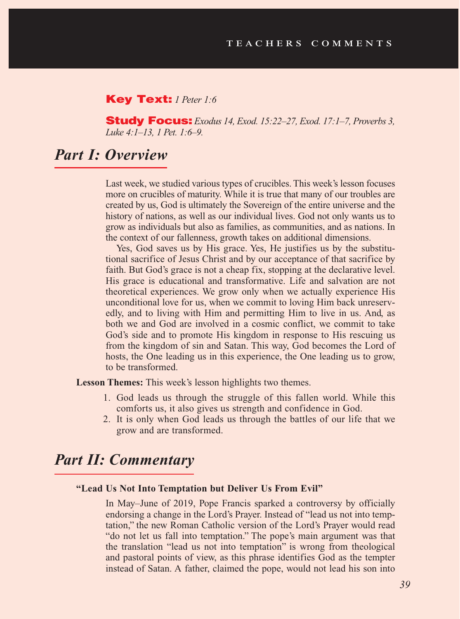#### Key Text: *1 Peter 1:6*

Study Focus: *Exodus 14, Exod. 15:22–27, Exod. 17:1–7, Proverbs 3, Luke 4:1–13, 1 Pet. 1:6–9.*

### *Part I: Overview*

Last week, we studied various types of crucibles. This week's lesson focuses more on crucibles of maturity. While it is true that many of our troubles are created by us, God is ultimately the Sovereign of the entire universe and the history of nations, as well as our individual lives. God not only wants us to grow as individuals but also as families, as communities, and as nations. In the context of our fallenness, growth takes on additional dimensions.

Yes, God saves us by His grace. Yes, He justifies us by the substitutional sacrifice of Jesus Christ and by our acceptance of that sacrifice by faith. But God's grace is not a cheap fix, stopping at the declarative level. His grace is educational and transformative. Life and salvation are not theoretical experiences. We grow only when we actually experience His unconditional love for us, when we commit to loving Him back unreservedly, and to living with Him and permitting Him to live in us. And, as both we and God are involved in a cosmic conflict, we commit to take God's side and to promote His kingdom in response to His rescuing us from the kingdom of sin and Satan. This way, God becomes the Lord of hosts, the One leading us in this experience, the One leading us to grow, to be transformed.

**Lesson Themes:** This week's lesson highlights two themes.

- 1. God leads us through the struggle of this fallen world. While this comforts us, it also gives us strength and confidence in God.
- 2. It is only when God leads us through the battles of our life that we grow and are transformed.

#### *Part II: Commentary*

#### **"Lead Us Not Into Temptation but Deliver Us From Evil"**

In May–June of 2019, Pope Francis sparked a controversy by officially endorsing a change in the Lord's Prayer. Instead of "lead us not into temptation," the new Roman Catholic version of the Lord's Prayer would read "do not let us fall into temptation." The pope's main argument was that the translation "lead us not into temptation" is wrong from theological and pastoral points of view, as this phrase identifies God as the tempter instead of Satan. A father, claimed the pope, would not lead his son into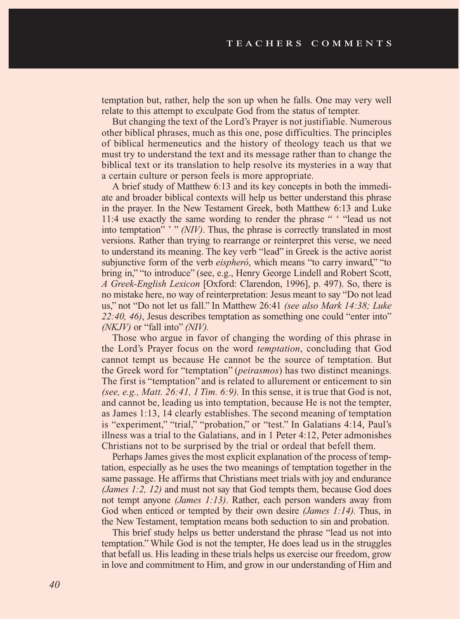temptation but, rather, help the son up when he falls. One may very well relate to this attempt to exculpate God from the status of tempter.

But changing the text of the Lord's Prayer is not justifiable. Numerous other biblical phrases, much as this one, pose difficulties. The principles of biblical hermeneutics and the history of theology teach us that we must try to understand the text and its message rather than to change the biblical text or its translation to help resolve its mysteries in a way that a certain culture or person feels is more appropriate.

A brief study of Matthew 6:13 and its key concepts in both the immediate and broader biblical contexts will help us better understand this phrase in the prayer. In the New Testament Greek, both Matthew 6:13 and Luke 11:4 use exactly the same wording to render the phrase " ' "lead us not into temptation" ' " *(NIV)*. Thus, the phrase is correctly translated in most versions. Rather than trying to rearrange or reinterpret this verse, we need to understand its meaning. The key verb "lead" in Greek is the active aorist subjunctive form of the verb *eispheró*, which means "to carry inward," "to bring in," "to introduce" (see, e.g., Henry George Lindell and Robert Scott, *A Greek-English Lexicon* [Oxford: Clarendon, 1996], p. 497). So, there is no mistake here, no way of reinterpretation: Jesus meant to say "Do not lead us," not "Do not let us fall." In Matthew 26:41 *(see also Mark 14:38; Luke 22:40, 46)*, Jesus describes temptation as something one could "enter into" *(NKJV)* or "fall into" *(NIV).*

Those who argue in favor of changing the wording of this phrase in the Lord's Prayer focus on the word *temptation*, concluding that God cannot tempt us because He cannot be the source of temptation. But the Greek word for "temptation" (*peirasmos*) has two distinct meanings. The first is "temptation" and is related to allurement or enticement to sin *(see, e.g., Matt. 26:41, 1 Tim. 6:9).* In this sense, it is true that God is not, and cannot be, leading us into temptation, because He is not the tempter, as James 1:13, 14 clearly establishes. The second meaning of temptation is "experiment," "trial," "probation," or "test." In Galatians 4:14, Paul's illness was a trial to the Galatians, and in 1 Peter 4:12, Peter admonishes Christians not to be surprised by the trial or ordeal that befell them.

Perhaps James gives the most explicit explanation of the process of temptation, especially as he uses the two meanings of temptation together in the same passage. He affirms that Christians meet trials with joy and endurance *(James 1:2, 12)* and must not say that God tempts them, because God does not tempt anyone *(James 1:13)*. Rather, each person wanders away from God when enticed or tempted by their own desire *(James 1:14).* Thus, in the New Testament, temptation means both seduction to sin and probation.

This brief study helps us better understand the phrase "lead us not into temptation." While God is not the tempter, He does lead us in the struggles that befall us. His leading in these trials helps us exercise our freedom, grow in love and commitment to Him, and grow in our understanding of Him and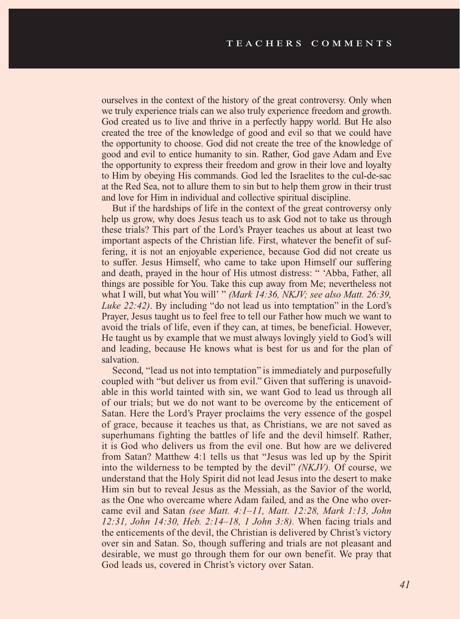ourselves in the context of the history of the great controversy. Only when we truly experience trials can we also truly experience freedom and growth. God created us to live and thrive in a perfectly happy world. But He also created the tree of the knowledge of good and evil so that we could have the opportunity to choose. God did not create the tree of the knowledge of good and evil to entice humanity to sin. Rather, God gave Adam and Eve the opportunity to express their freedom and grow in their love and loyalty to Him by obeying His commands. God led the Israelites to the cul-de-sac at the Red Sea, not to allure them to sin but to help them grow in their trust and love for Him in individual and collective spiritual discipline.

But if the hardships of life in the context of the great controversy only help us grow, why does Jesus teach us to ask God not to take us through these trials? This part of the Lord's Prayer teaches us about at least two important aspects of the Christian life. First, whatever the benefit of suffering, it is not an enjoyable experience, because God did not create us to suffer. Jesus Himself, who came to take upon Himself our suffering and death, prayed in the hour of His utmost distress: " 'Abba, Father, all things are possible for You. Take this cup away from Me; nevertheless not what I will, but what You will' " *(Mark 14:36, NKJV; see also Matt. 26:39, Luke 22:42)*. By including "do not lead us into temptation" in the Lord's Prayer, Jesus taught us to feel free to tell our Father how much we want to avoid the trials of life, even if they can, at times, be beneficial. However, He taught us by example that we must always lovingly yield to God's will and leading, because He knows what is best for us and for the plan of salvation.

Second, "lead us not into temptation" is immediately and purposefully coupled with "but deliver us from evil." Given that suffering is unavoidable in this world tainted with sin, we want God to lead us through all of our trials; but we do not want to be overcome by the enticement of Satan. Here the Lord's Prayer proclaims the very essence of the gospel of grace, because it teaches us that, as Christians, we are not saved as superhumans fighting the battles of life and the devil himself. Rather, it is God who delivers us from the evil one. But how are we delivered from Satan? Matthew 4:1 tells us that "Jesus was led up by the Spirit into the wilderness to be tempted by the devil" *(NKJV).* Of course, we understand that the Holy Spirit did not lead Jesus into the desert to make Him sin but to reveal Jesus as the Messiah, as the Savior of the world, as the One who overcame where Adam failed, and as the One who overcame evil and Satan *(see Matt. 4:1–11, Matt. 12:28, Mark 1:13, John 12:31, John 14:30, Heb. 2:14–18, 1 John 3:8).* When facing trials and the enticements of the devil, the Christian is delivered by Christ's victory over sin and Satan. So, though suffering and trials are not pleasant and desirable, we must go through them for our own benefit. We pray that God leads us, covered in Christ's victory over Satan.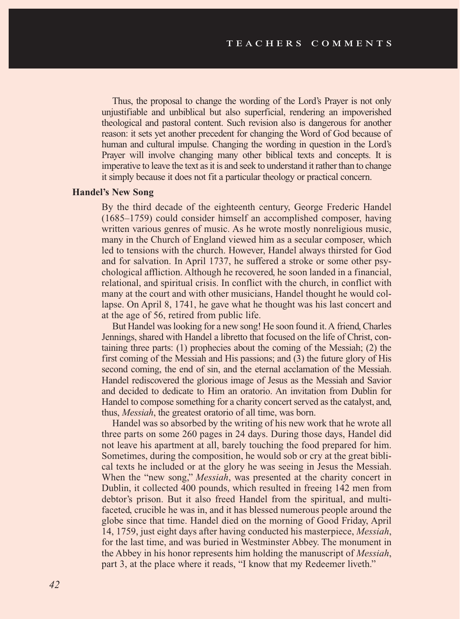Thus, the proposal to change the wording of the Lord's Prayer is not only unjustifiable and unbiblical but also superficial, rendering an impoverished theological and pastoral content. Such revision also is dangerous for another reason: it sets yet another precedent for changing the Word of God because of human and cultural impulse. Changing the wording in question in the Lord's Prayer will involve changing many other biblical texts and concepts. It is imperative to leave the text as it is and seek to understand it rather than to change it simply because it does not fit a particular theology or practical concern.

#### **Handel's New Song**

By the third decade of the eighteenth century, George Frederic Handel (1685–1759) could consider himself an accomplished composer, having written various genres of music. As he wrote mostly nonreligious music, many in the Church of England viewed him as a secular composer, which led to tensions with the church. However, Handel always thirsted for God and for salvation. In April 1737, he suffered a stroke or some other psychological affliction. Although he recovered, he soon landed in a financial, relational, and spiritual crisis. In conflict with the church, in conflict with many at the court and with other musicians, Handel thought he would collapse. On April 8, 1741, he gave what he thought was his last concert and at the age of 56, retired from public life.

But Handel was looking for a new song! He soon found it. A friend, Charles Jennings, shared with Handel a libretto that focused on the life of Christ, containing three parts: (1) prophecies about the coming of the Messiah; (2) the first coming of the Messiah and His passions; and (3) the future glory of His second coming, the end of sin, and the eternal acclamation of the Messiah. Handel rediscovered the glorious image of Jesus as the Messiah and Savior and decided to dedicate to Him an oratorio. An invitation from Dublin for Handel to compose something for a charity concert served as the catalyst, and, thus, *Messiah*, the greatest oratorio of all time, was born.

Handel was so absorbed by the writing of his new work that he wrote all three parts on some 260 pages in 24 days. During those days, Handel did not leave his apartment at all, barely touching the food prepared for him. Sometimes, during the composition, he would sob or cry at the great biblical texts he included or at the glory he was seeing in Jesus the Messiah. When the "new song," *Messiah*, was presented at the charity concert in Dublin, it collected 400 pounds, which resulted in freeing 142 men from debtor's prison. But it also freed Handel from the spiritual, and multifaceted, crucible he was in, and it has blessed numerous people around the globe since that time. Handel died on the morning of Good Friday, April 14, 1759, just eight days after having conducted his masterpiece, *Messiah*, for the last time, and was buried in Westminster Abbey. The monument in the Abbey in his honor represents him holding the manuscript of *Messiah*, part 3, at the place where it reads, "I know that my Redeemer liveth."